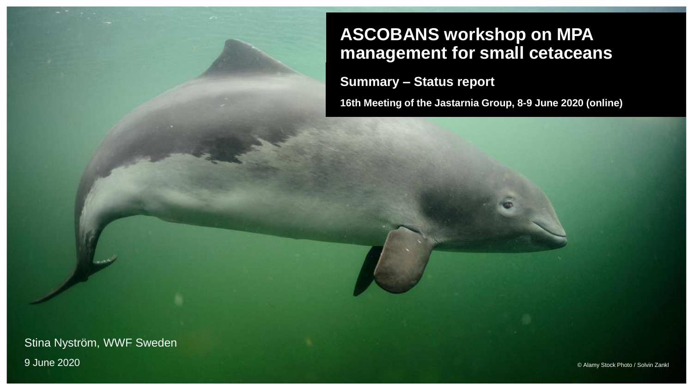### **ASCOBANS workshop on MPA management for small cetaceans**

**Summary – Status report**

**16th Meeting of the Jastarnia Group, 8-9 June 2020 (online)**

Stina Nyström, WWF Sweden 9 June 2020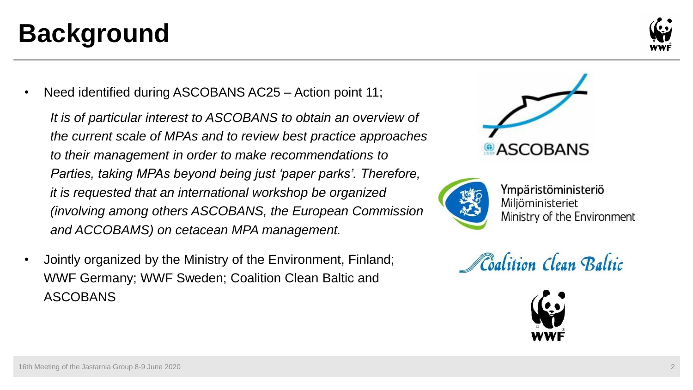### **Background**

Need identified during ASCOBANS AC25 – Action point 11;

*It is of particular interest to ASCOBANS to obtain an overview of the current scale of MPAs and to review best practice approaches to their management in order to make recommendations to Parties, taking MPAs beyond being just 'paper parks'. Therefore, it is requested that an international workshop be organized (involving among others ASCOBANS, the European Commission and ACCOBAMS) on cetacean MPA management.* 

• Jointly organized by the Ministry of the Environment, Finland; WWF Germany; WWF Sweden; Coalition Clean Baltic and ASCOBANS





Ympäristöministeriö Miljöministeriet Ministry of the Environment





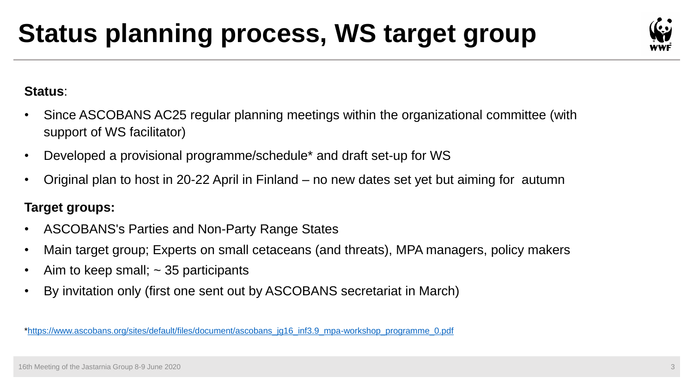# **Status planning process, WS target group**



#### **Status**:

- Since ASCOBANS AC25 regular planning meetings within the organizational committee (with support of WS facilitator)
- Developed a provisional programme/schedule\* and draft set-up for WS
- Original plan to host in 20-22 April in Finland no new dates set yet but aiming for autumn

#### **Target groups:**

- ASCOBANS's Parties and Non-Party Range States
- Main target group; Experts on small cetaceans (and threats), MPA managers, policy makers
- Aim to keep small;  $\sim$  35 participants
- By invitation only (first one sent out by ASCOBANS secretariat in March)

[\\*https://www.ascobans.org/sites/default/files/document/ascobans\\_jg16\\_inf3.9\\_mpa-workshop\\_programme\\_0.pdf](https://www.ascobans.org/sites/default/files/document/ascobans_jg16_inf3.9_mpa-workshop_programme_0.pdf)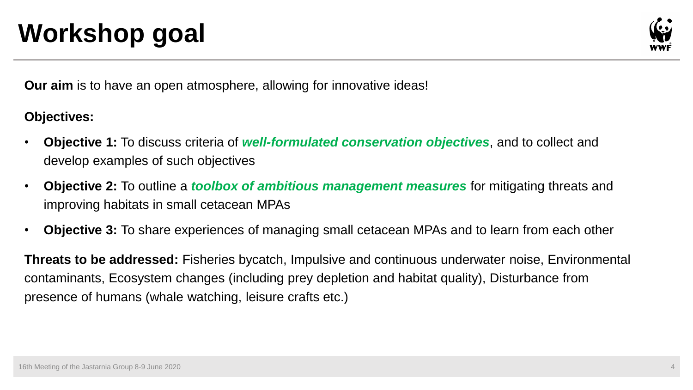## **Workshop goal**



**Our aim** is to have an open atmosphere, allowing for innovative ideas!

#### **Objectives:**

- **Objective 1:** To discuss criteria of *well-formulated conservation objectives*, and to collect and develop examples of such objectives
- **Objective 2:** To outline a *toolbox of ambitious management measures* for mitigating threats and improving habitats in small cetacean MPAs
- **Objective 3:** To share experiences of managing small cetacean MPAs and to learn from each other

**Threats to be addressed:** Fisheries bycatch, Impulsive and continuous underwater noise, Environmental contaminants, Ecosystem changes (including prey depletion and habitat quality), Disturbance from presence of humans (whale watching, leisure crafts etc.)